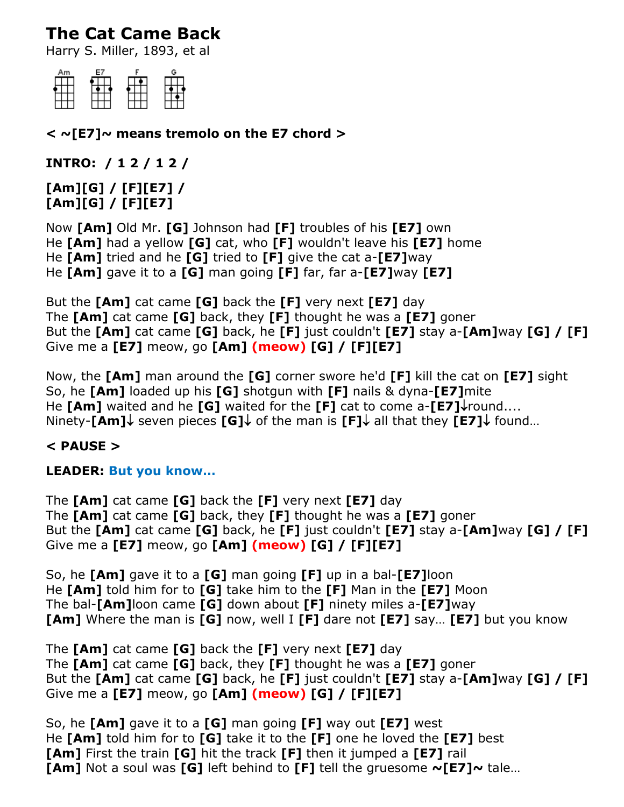# **The Cat Came Back**

Harry S. Miller, 1893, et al



**< ~[E7]~ means tremolo on the E7 chord >**

**INTRO: / 1 2 / 1 2 /**

**[Am][G] / [F][E7] / [Am][G] / [F][E7]**

Now **[Am]** Old Mr. **[G]** Johnson had **[F]** troubles of his **[E7]** own He **[Am]** had a yellow **[G]** cat, who **[F]** wouldn't leave his **[E7]** home He **[Am]** tried and he **[G]** tried to **[F]** give the cat a-**[E7]**way He **[Am]** gave it to a **[G]** man going **[F]** far, far a-**[E7]**way **[E7]**

But the **[Am]** cat came **[G]** back the **[F]** very next **[E7]** day The **[Am]** cat came **[G]** back, they **[F]** thought he was a **[E7]** goner But the **[Am]** cat came **[G]** back, he **[F]** just couldn't **[E7]** stay a-**[Am]**way **[G] / [F]** Give me a **[E7]** meow, go **[Am] (meow) [G] / [F][E7]**

Now, the **[Am]** man around the **[G]** corner swore he'd **[F]** kill the cat on **[E7]** sight So, he **[Am]** loaded up his **[G]** shotgun with **[F]** nails & dyna-**[E7]**mite He **[Am]** waited and he **[G]** waited for the **[F]** cat to come a-**[E7]**round.... Ninety-**[Am]** seven pieces **[G]** of the man is **[F]** all that they **[E7]** found...

## **< PAUSE >**

## **LEADER: But you know…**

The **[Am]** cat came **[G]** back the **[F]** very next **[E7]** day The **[Am]** cat came **[G]** back, they **[F]** thought he was a **[E7]** goner But the **[Am]** cat came **[G]** back, he **[F]** just couldn't **[E7]** stay a-**[Am]**way **[G] / [F]** Give me a **[E7]** meow, go **[Am] (meow) [G] / [F][E7]**

So, he **[Am]** gave it to a **[G]** man going **[F]** up in a bal-**[E7]**loon He **[Am]** told him for to **[G]** take him to the **[F]** Man in the **[E7]** Moon The bal-**[Am]**loon came **[G]** down about **[F]** ninety miles a-**[E7]**way **[Am]** Where the man is **[G]** now, well I **[F]** dare not **[E7]** say… **[E7]** but you know

The **[Am]** cat came **[G]** back the **[F]** very next **[E7]** day The **[Am]** cat came **[G]** back, they **[F]** thought he was a **[E7]** goner But the **[Am]** cat came **[G]** back, he **[F]** just couldn't **[E7]** stay a-**[Am]**way **[G] / [F]** Give me a **[E7]** meow, go **[Am] (meow) [G] / [F][E7]**

So, he **[Am]** gave it to a **[G]** man going **[F]** way out **[E7]** west He **[Am]** told him for to **[G]** take it to the **[F]** one he loved the **[E7]** best **[Am]** First the train **[G]** hit the track **[F]** then it jumped a **[E7]** rail **[Am]** Not a soul was **[G]** left behind to **[F]** tell the gruesome **~[E7]~** tale…